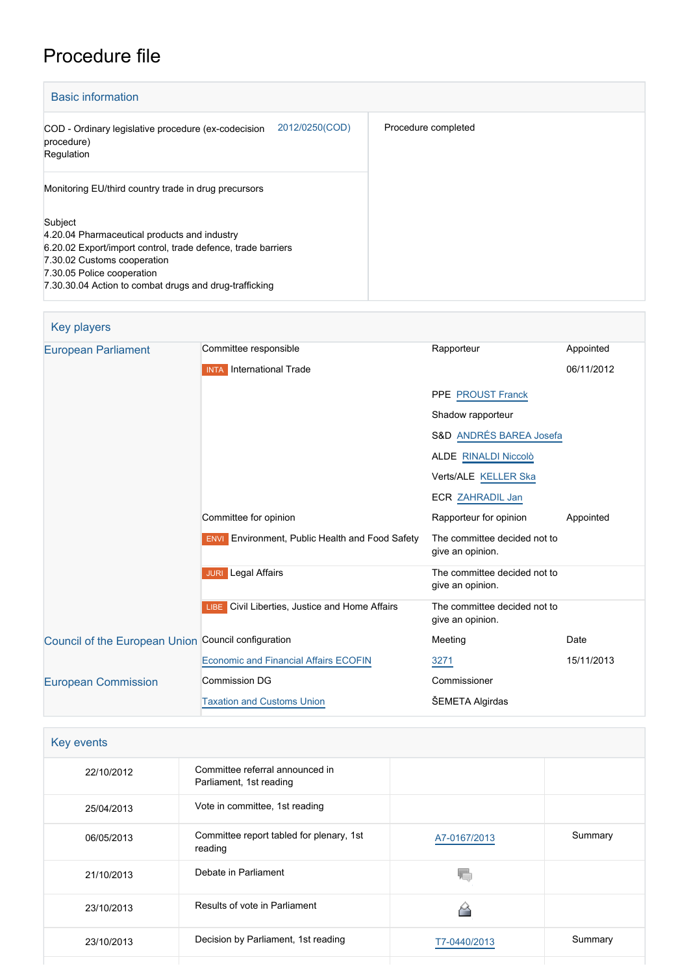# Procedure file

| <b>Basic information</b>                                                                                                                                                                                                                       |                     |
|------------------------------------------------------------------------------------------------------------------------------------------------------------------------------------------------------------------------------------------------|---------------------|
| 2012/0250(COD)<br>COD - Ordinary legislative procedure (ex-codecision<br>procedure)<br>Regulation                                                                                                                                              | Procedure completed |
| Monitoring EU/third country trade in drug precursors                                                                                                                                                                                           |                     |
| Subject<br>4.20.04 Pharmaceutical products and industry<br>6.20.02 Export/import control, trade defence, trade barriers<br>7.30.02 Customs cooperation<br>7.30.05 Police cooperation<br>7.30.30.04 Action to combat drugs and drug-trafficking |                     |

| Key players                                         |                                                        |                                                  |            |
|-----------------------------------------------------|--------------------------------------------------------|--------------------------------------------------|------------|
| <b>European Parliament</b>                          | Committee responsible                                  | Rapporteur                                       | Appointed  |
|                                                     | <b>INTA</b> International Trade                        |                                                  | 06/11/2012 |
|                                                     |                                                        | PPE PROUST Franck                                |            |
|                                                     |                                                        | Shadow rapporteur                                |            |
|                                                     |                                                        | S&D ANDRÉS BAREA Josefa                          |            |
|                                                     |                                                        | <b>ALDE RINALDI Niccolò</b>                      |            |
|                                                     |                                                        | Verts/ALE KELLER Ska                             |            |
|                                                     |                                                        | ECR ZAHRADIL Jan                                 |            |
|                                                     | Committee for opinion                                  | Rapporteur for opinion                           | Appointed  |
|                                                     | <b>ENVI</b> Environment, Public Health and Food Safety | The committee decided not to<br>give an opinion. |            |
|                                                     | <b>JURI</b> Legal Affairs                              | The committee decided not to<br>give an opinion. |            |
|                                                     | LIBE Civil Liberties, Justice and Home Affairs         | The committee decided not to<br>give an opinion. |            |
| Council of the European Union Council configuration |                                                        | Meeting                                          | Date       |
|                                                     | <b>Economic and Financial Affairs ECOFIN</b>           | 3271                                             | 15/11/2013 |
| <b>European Commission</b>                          | <b>Commission DG</b>                                   | Commissioner                                     |            |
|                                                     | <b>Taxation and Customs Union</b>                      | <b>SEMETA Algirdas</b>                           |            |

| Key events |                                                            |              |         |
|------------|------------------------------------------------------------|--------------|---------|
| 22/10/2012 | Committee referral announced in<br>Parliament, 1st reading |              |         |
| 25/04/2013 | Vote in committee, 1st reading                             |              |         |
| 06/05/2013 | Committee report tabled for plenary, 1st<br>reading        | A7-0167/2013 | Summary |
| 21/10/2013 | Debate in Parliament                                       |              |         |
| 23/10/2013 | Results of vote in Parliament                              |              |         |
| 23/10/2013 | Decision by Parliament, 1st reading                        | T7-0440/2013 | Summary |
|            |                                                            |              |         |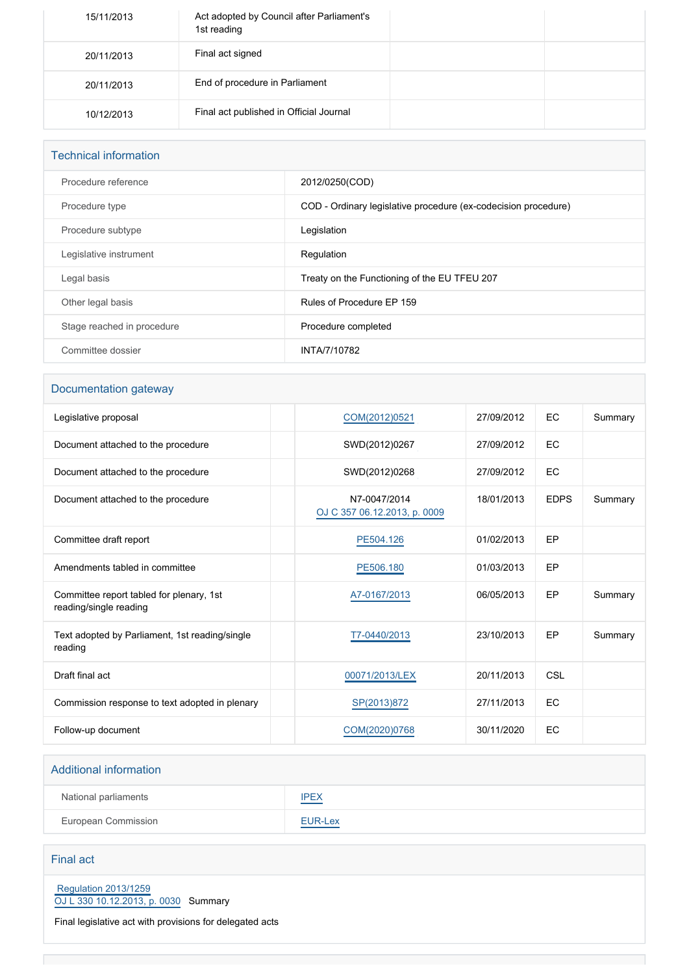| 15/11/2013 | Act adopted by Council after Parliament's<br>1st reading |  |
|------------|----------------------------------------------------------|--|
| 20/11/2013 | Final act signed                                         |  |
| 20/11/2013 | End of procedure in Parliament                           |  |
| 10/12/2013 | Final act published in Official Journal                  |  |

| <b>Technical information</b> |                                                                |  |
|------------------------------|----------------------------------------------------------------|--|
| Procedure reference          | 2012/0250(COD)                                                 |  |
| Procedure type               | COD - Ordinary legislative procedure (ex-codecision procedure) |  |
| Procedure subtype            | Legislation                                                    |  |
| Legislative instrument       | Regulation                                                     |  |
| Legal basis                  | Treaty on the Functioning of the EU TFEU 207                   |  |
| Other legal basis            | Rules of Procedure EP 159                                      |  |
| Stage reached in procedure   | Procedure completed                                            |  |
| Committee dossier            | INTA/7/10782                                                   |  |

### Documentation gateway

| Legislative proposal                                               | COM(2012)0521                                | 27/09/2012 | EC          | Summary |
|--------------------------------------------------------------------|----------------------------------------------|------------|-------------|---------|
| Document attached to the procedure                                 | SWD(2012)0267                                | 27/09/2012 | EC          |         |
| Document attached to the procedure                                 | SWD(2012)0268                                | 27/09/2012 | EC          |         |
| Document attached to the procedure                                 | N7-0047/2014<br>OJ C 357 06.12.2013, p. 0009 | 18/01/2013 | <b>EDPS</b> | Summary |
| Committee draft report                                             | PE504.126                                    | 01/02/2013 | EP          |         |
| Amendments tabled in committee                                     | PE506.180                                    | 01/03/2013 | EP          |         |
| Committee report tabled for plenary, 1st<br>reading/single reading | A7-0167/2013                                 | 06/05/2013 | EP          | Summary |
| Text adopted by Parliament, 1st reading/single<br>reading          | T7-0440/2013                                 | 23/10/2013 | EP          | Summary |
| Draft final act                                                    | 00071/2013/LEX                               | 20/11/2013 | <b>CSL</b>  |         |
| Commission response to text adopted in plenary                     | SP(2013)872                                  | 27/11/2013 | EC          |         |
| Follow-up document                                                 | COM(2020)0768                                | 30/11/2020 | EC          |         |

# Additional information National parliaments **[IPEX](http://www.ipex.eu/IPEXL-WEB/dossier/dossier.do?code=COD&year=2012&number=0250&appLng=EN)** European Commission **[EUR-Lex](http://ec.europa.eu/prelex/liste_resultats.cfm?CL=en&ReqId=0&DocType=COD&DocYear=2012&DocNum=0250)**

Final act

 [Regulation 2013/1259](https://eur-lex.europa.eu/smartapi/cgi/sga_doc?smartapi!celexplus!prod!CELEXnumdoc&lg=EN&numdoc=32013R1259) [OJ L 330 10.12.2013, p. 0030](https://eur-lex.europa.eu/legal-content/EN/TXT/?uri=OJ:L:2013:330:TOC) Summary

Final legislative act with provisions for delegated acts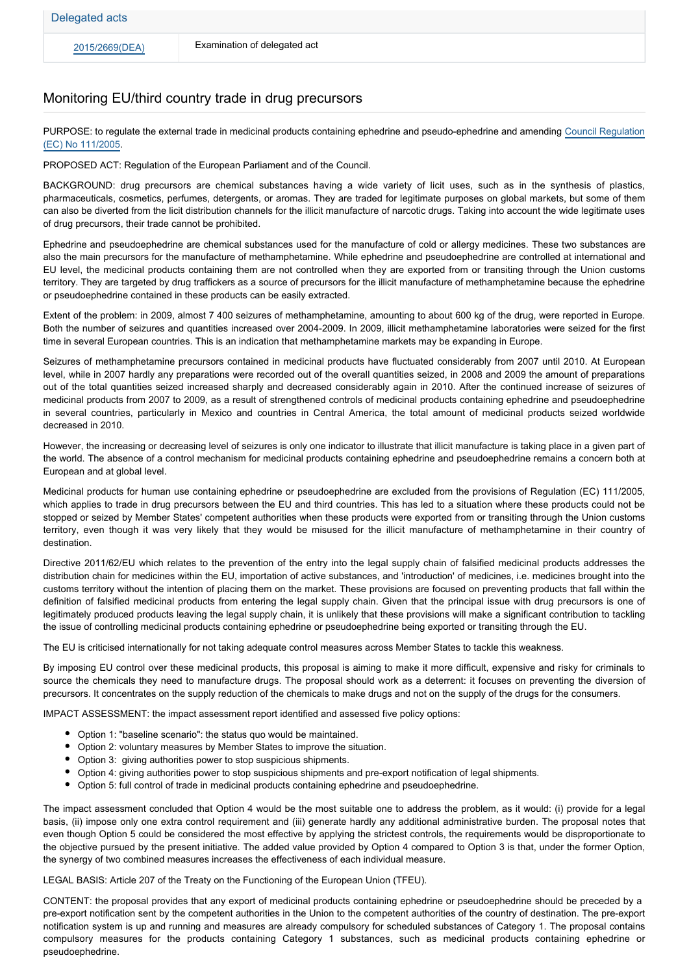#### Monitoring EU/third country trade in drug precursors

PURPOSE: to regulate the external trade in medicinal products containing ephedrine and pseudo-ephedrine and amending [Council Regulation](http://eur-lex.europa.eu/LexUriServ/LexUriServ.do?uri=OJ:L:2005:022:0001:0010:EN:PDF) [\(EC\) No 111/2005.](http://eur-lex.europa.eu/LexUriServ/LexUriServ.do?uri=OJ:L:2005:022:0001:0010:EN:PDF)

PROPOSED ACT: Regulation of the European Parliament and of the Council.

BACKGROUND: drug precursors are chemical substances having a wide variety of licit uses, such as in the synthesis of plastics, pharmaceuticals, cosmetics, perfumes, detergents, or aromas. They are traded for legitimate purposes on global markets, but some of them can also be diverted from the licit distribution channels for the illicit manufacture of narcotic drugs. Taking into account the wide legitimate uses of drug precursors, their trade cannot be prohibited.

Ephedrine and pseudoephedrine are chemical substances used for the manufacture of cold or allergy medicines. These two substances are also the main precursors for the manufacture of methamphetamine. While ephedrine and pseudoephedrine are controlled at international and EU level, the medicinal products containing them are not controlled when they are exported from or transiting through the Union customs territory. They are targeted by drug traffickers as a source of precursors for the illicit manufacture of methamphetamine because the ephedrine or pseudoephedrine contained in these products can be easily extracted.

Extent of the problem: in 2009, almost 7 400 seizures of methamphetamine, amounting to about 600 kg of the drug, were reported in Europe. Both the number of seizures and quantities increased over 2004-2009. In 2009, illicit methamphetamine laboratories were seized for the first time in several European countries. This is an indication that methamphetamine markets may be expanding in Europe.

Seizures of methamphetamine precursors contained in medicinal products have fluctuated considerably from 2007 until 2010. At European level, while in 2007 hardly any preparations were recorded out of the overall quantities seized, in 2008 and 2009 the amount of preparations out of the total quantities seized increased sharply and decreased considerably again in 2010. After the continued increase of seizures of medicinal products from 2007 to 2009, as a result of strengthened controls of medicinal products containing ephedrine and pseudoephedrine in several countries, particularly in Mexico and countries in Central America, the total amount of medicinal products seized worldwide decreased in 2010.

However, the increasing or decreasing level of seizures is only one indicator to illustrate that illicit manufacture is taking place in a given part of the world. The absence of a control mechanism for medicinal products containing ephedrine and pseudoephedrine remains a concern both at European and at global level.

Medicinal products for human use containing ephedrine or pseudoephedrine are excluded from the provisions of Regulation (EC) 111/2005, which applies to trade in drug precursors between the EU and third countries. This has led to a situation where these products could not be stopped or seized by Member States' competent authorities when these products were exported from or transiting through the Union customs territory, even though it was very likely that they would be misused for the illicit manufacture of methamphetamine in their country of destination.

Directive 2011/62/EU which relates to the prevention of the entry into the legal supply chain of falsified medicinal products addresses the distribution chain for medicines within the EU, importation of active substances, and 'introduction' of medicines, i.e. medicines brought into the customs territory without the intention of placing them on the market. These provisions are focused on preventing products that fall within the definition of falsified medicinal products from entering the legal supply chain. Given that the principal issue with drug precursors is one of legitimately produced products leaving the legal supply chain, it is unlikely that these provisions will make a significant contribution to tackling the issue of controlling medicinal products containing ephedrine or pseudoephedrine being exported or transiting through the EU.

The EU is criticised internationally for not taking adequate control measures across Member States to tackle this weakness.

By imposing EU control over these medicinal products, this proposal is aiming to make it more difficult, expensive and risky for criminals to source the chemicals they need to manufacture drugs. The proposal should work as a deterrent: it focuses on preventing the diversion of precursors. It concentrates on the supply reduction of the chemicals to make drugs and not on the supply of the drugs for the consumers.

IMPACT ASSESSMENT: the impact assessment report identified and assessed five policy options:

- Option 1: "baseline scenario": the status quo would be maintained.
- Option 2: voluntary measures by Member States to improve the situation.
- Option 3: giving authorities power to stop suspicious shipments.
- Option 4: giving authorities power to stop suspicious shipments and pre-export notification of legal shipments.
- Option 5: full control of trade in medicinal products containing ephedrine and pseudoephedrine.

The impact assessment concluded that Option 4 would be the most suitable one to address the problem, as it would: (i) provide for a legal basis, (ii) impose only one extra control requirement and (iii) generate hardly any additional administrative burden. The proposal notes that even though Option 5 could be considered the most effective by applying the strictest controls, the requirements would be disproportionate to the objective pursued by the present initiative. The added value provided by Option 4 compared to Option 3 is that, under the former Option, the synergy of two combined measures increases the effectiveness of each individual measure.

LEGAL BASIS: Article 207 of the Treaty on the Functioning of the European Union (TFEU).

CONTENT: the proposal provides that any export of medicinal products containing ephedrine or pseudoephedrine should be preceded by a pre-export notification sent by the competent authorities in the Union to the competent authorities of the country of destination. The pre-export notification system is up and running and measures are already compulsory for scheduled substances of Category 1. The proposal contains compulsory measures for the products containing Category 1 substances, such as medicinal products containing ephedrine or pseudoephedrine.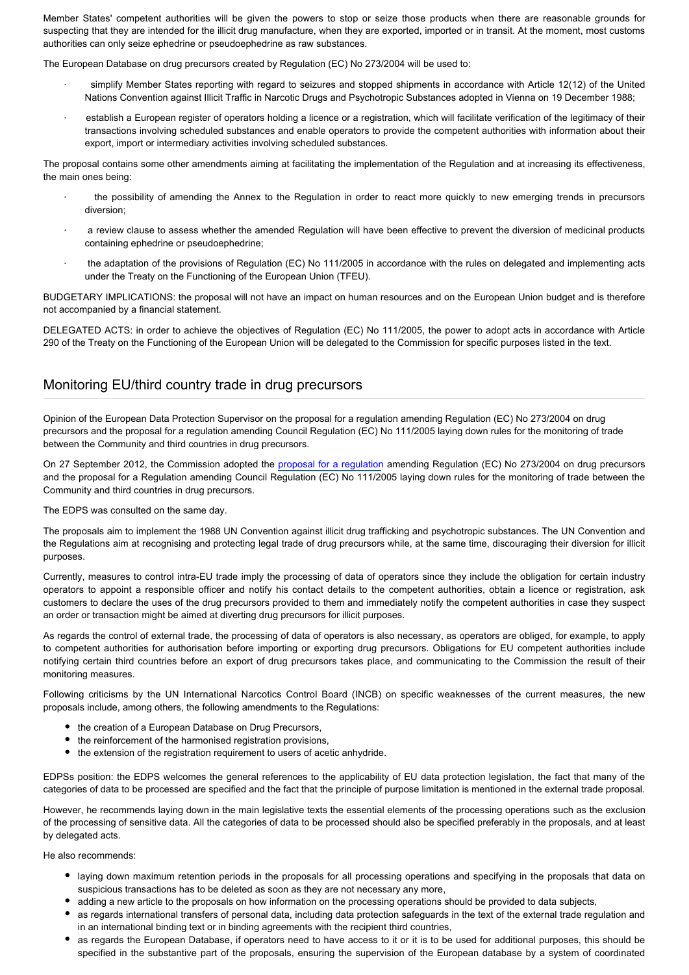Member States' competent authorities will be given the powers to stop or seize those products when there are reasonable grounds for suspecting that they are intended for the illicit drug manufacture, when they are exported, imported or in transit. At the moment, most customs authorities can only seize ephedrine or pseudoephedrine as raw substances.

The European Database on drug precursors created by Regulation (EC) No 273/2004 will be used to:

- · simplify Member States reporting with regard to seizures and stopped shipments in accordance with Article 12(12) of the United Nations Convention against Illicit Traffic in Narcotic Drugs and Psychotropic Substances adopted in Vienna on 19 December 1988;
- establish a European register of operators holding a licence or a registration, which will facilitate verification of the legitimacy of their transactions involving scheduled substances and enable operators to provide the competent authorities with information about their export, import or intermediary activities involving scheduled substances.

The proposal contains some other amendments aiming at facilitating the implementation of the Regulation and at increasing its effectiveness, the main ones being:

- the possibility of amending the Annex to the Regulation in order to react more quickly to new emerging trends in precursors diversion;
- a review clause to assess whether the amended Regulation will have been effective to prevent the diversion of medicinal products containing ephedrine or pseudoephedrine;
- the adaptation of the provisions of Regulation (EC) No 111/2005 in accordance with the rules on delegated and implementing acts under the Treaty on the Functioning of the European Union (TFEU).

BUDGETARY IMPLICATIONS: the proposal will not have an impact on human resources and on the European Union budget and is therefore not accompanied by a financial statement.

DELEGATED ACTS: in order to achieve the objectives of Regulation (EC) No 111/2005, the power to adopt acts in accordance with Article 290 of the Treaty on the Functioning of the European Union will be delegated to the Commission for specific purposes listed in the text.

### Monitoring EU/third country trade in drug precursors

Opinion of the European Data Protection Supervisor on the proposal for a regulation amending Regulation (EC) No 273/2004 on drug precursors and the proposal for a regulation amending Council Regulation (EC) No 111/2005 laying down rules for the monitoring of trade between the Community and third countries in drug precursors.

On 27 September 2012, the Commission adopted the [proposal for a regulation](http://www.europarl.europa.eu/oeil/FindByProcnum.do?lang=en&procnum=COD/2012/0261) amending Regulation (EC) No 273/2004 on drug precursors and the proposal for a Regulation amending Council Regulation (EC) No 111/2005 laying down rules for the monitoring of trade between the Community and third countries in drug precursors.

The EDPS was consulted on the same day.

The proposals aim to implement the 1988 UN Convention against illicit drug trafficking and psychotropic substances. The UN Convention and the Regulations aim at recognising and protecting legal trade of drug precursors while, at the same time, discouraging their diversion for illicit purposes.

Currently, measures to control intra-EU trade imply the processing of data of operators since they include the obligation for certain industry operators to appoint a responsible officer and notify his contact details to the competent authorities, obtain a licence or registration, ask customers to declare the uses of the drug precursors provided to them and immediately notify the competent authorities in case they suspect an order or transaction might be aimed at diverting drug precursors for illicit purposes.

As regards the control of external trade, the processing of data of operators is also necessary, as operators are obliged, for example, to apply to competent authorities for authorisation before importing or exporting drug precursors. Obligations for EU competent authorities include notifying certain third countries before an export of drug precursors takes place, and communicating to the Commission the result of their monitoring measures.

Following criticisms by the UN International Narcotics Control Board (INCB) on specific weaknesses of the current measures, the new proposals include, among others, the following amendments to the Regulations:

- the creation of a European Database on Drug Precursors,
- the reinforcement of the harmonised registration provisions,
- the extension of the registration requirement to users of acetic anhydride.

EDPSs position: the EDPS welcomes the general references to the applicability of EU data protection legislation, the fact that many of the categories of data to be processed are specified and the fact that the principle of purpose limitation is mentioned in the external trade proposal.

However, he recommends laying down in the main legislative texts the essential elements of the processing operations such as the exclusion of the processing of sensitive data. All the categories of data to be processed should also be specified preferably in the proposals, and at least by delegated acts.

He also recommends:

- laying down maximum retention periods in the proposals for all processing operations and specifying in the proposals that data on suspicious transactions has to be deleted as soon as they are not necessary any more,
- adding a new article to the proposals on how information on the processing operations should be provided to data subjects,
- as regards international transfers of personal data, including data protection safeguards in the text of the external trade regulation and in an international binding text or in binding agreements with the recipient third countries,
- as regards the European Database, if operators need to have access to it or it is to be used for additional purposes, this should be specified in the substantive part of the proposals, ensuring the supervision of the European database by a system of coordinated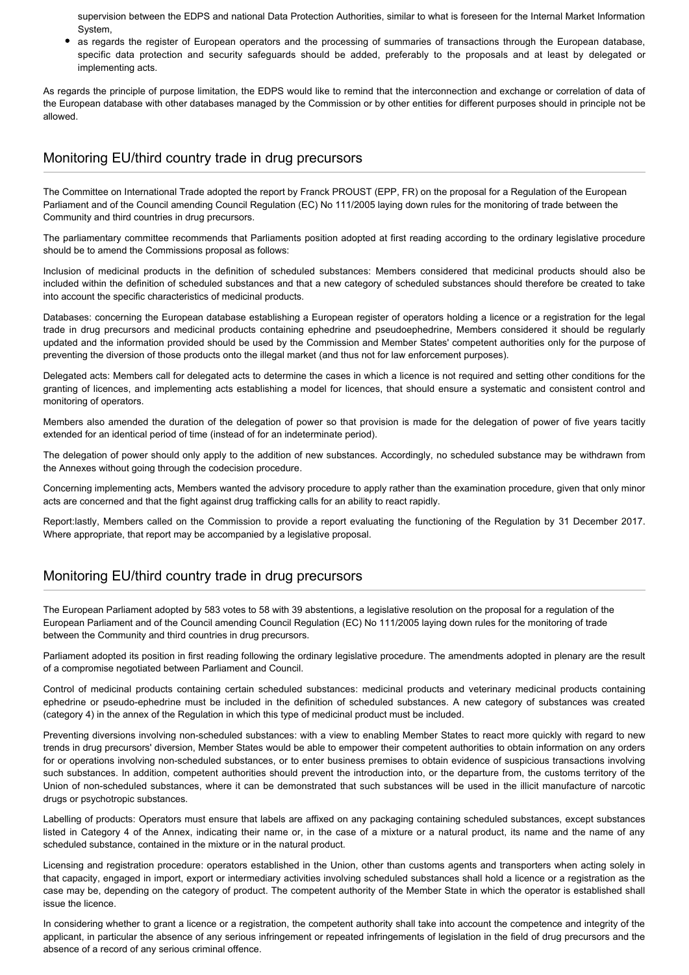supervision between the EDPS and national Data Protection Authorities, similar to what is foreseen for the Internal Market Information System,

as regards the register of European operators and the processing of summaries of transactions through the European database, specific data protection and security safeguards should be added, preferably to the proposals and at least by delegated or implementing acts.

As regards the principle of purpose limitation, the EDPS would like to remind that the interconnection and exchange or correlation of data of the European database with other databases managed by the Commission or by other entities for different purposes should in principle not be allowed.

#### Monitoring EU/third country trade in drug precursors

The Committee on International Trade adopted the report by Franck PROUST (EPP, FR) on the proposal for a Regulation of the European Parliament and of the Council amending Council Regulation (EC) No 111/2005 laying down rules for the monitoring of trade between the Community and third countries in drug precursors.

The parliamentary committee recommends that Parliaments position adopted at first reading according to the ordinary legislative procedure should be to amend the Commissions proposal as follows:

Inclusion of medicinal products in the definition of scheduled substances: Members considered that medicinal products should also be included within the definition of scheduled substances and that a new category of scheduled substances should therefore be created to take into account the specific characteristics of medicinal products.

Databases: concerning the European database establishing a European register of operators holding a licence or a registration for the legal trade in drug precursors and medicinal products containing ephedrine and pseudoephedrine, Members considered it should be regularly updated and the information provided should be used by the Commission and Member States' competent authorities only for the purpose of preventing the diversion of those products onto the illegal market (and thus not for law enforcement purposes).

Delegated acts: Members call for delegated acts to determine the cases in which a licence is not required and setting other conditions for the granting of licences, and implementing acts establishing a model for licences, that should ensure a systematic and consistent control and monitoring of operators.

Members also amended the duration of the delegation of power so that provision is made for the delegation of power of five years tacitly extended for an identical period of time (instead of for an indeterminate period).

The delegation of power should only apply to the addition of new substances. Accordingly, no scheduled substance may be withdrawn from the Annexes without going through the codecision procedure.

Concerning implementing acts, Members wanted the advisory procedure to apply rather than the examination procedure, given that only minor acts are concerned and that the fight against drug trafficking calls for an ability to react rapidly.

Report:lastly, Members called on the Commission to provide a report evaluating the functioning of the Regulation by 31 December 2017. Where appropriate, that report may be accompanied by a legislative proposal.

## Monitoring EU/third country trade in drug precursors

The European Parliament adopted by 583 votes to 58 with 39 abstentions, a legislative resolution on the proposal for a regulation of the European Parliament and of the Council amending Council Regulation (EC) No 111/2005 laying down rules for the monitoring of trade between the Community and third countries in drug precursors.

Parliament adopted its position in first reading following the ordinary legislative procedure. The amendments adopted in plenary are the result of a compromise negotiated between Parliament and Council.

Control of medicinal products containing certain scheduled substances: medicinal products and veterinary medicinal products containing ephedrine or pseudo-ephedrine must be included in the definition of scheduled substances. A new category of substances was created (category 4) in the annex of the Regulation in which this type of medicinal product must be included.

Preventing diversions involving non-scheduled substances: with a view to enabling Member States to react more quickly with regard to new trends in drug precursors' diversion, Member States would be able to empower their competent authorities to obtain information on any orders for or operations involving non-scheduled substances, or to enter business premises to obtain evidence of suspicious transactions involving such substances. In addition, competent authorities should prevent the introduction into, or the departure from, the customs territory of the Union of non-scheduled substances, where it can be demonstrated that such substances will be used in the illicit manufacture of narcotic drugs or psychotropic substances.

Labelling of products: Operators must ensure that labels are affixed on any packaging containing scheduled substances, except substances listed in Category 4 of the Annex, indicating their name or, in the case of a mixture or a natural product, its name and the name of any scheduled substance, contained in the mixture or in the natural product.

Licensing and registration procedure: operators established in the Union, other than customs agents and transporters when acting solely in that capacity, engaged in import, export or intermediary activities involving scheduled substances shall hold a licence or a registration as the case may be, depending on the category of product. The competent authority of the Member State in which the operator is established shall issue the licence.

In considering whether to grant a licence or a registration, the competent authority shall take into account the competence and integrity of the applicant, in particular the absence of any serious infringement or repeated infringements of legislation in the field of drug precursors and the absence of a record of any serious criminal offence.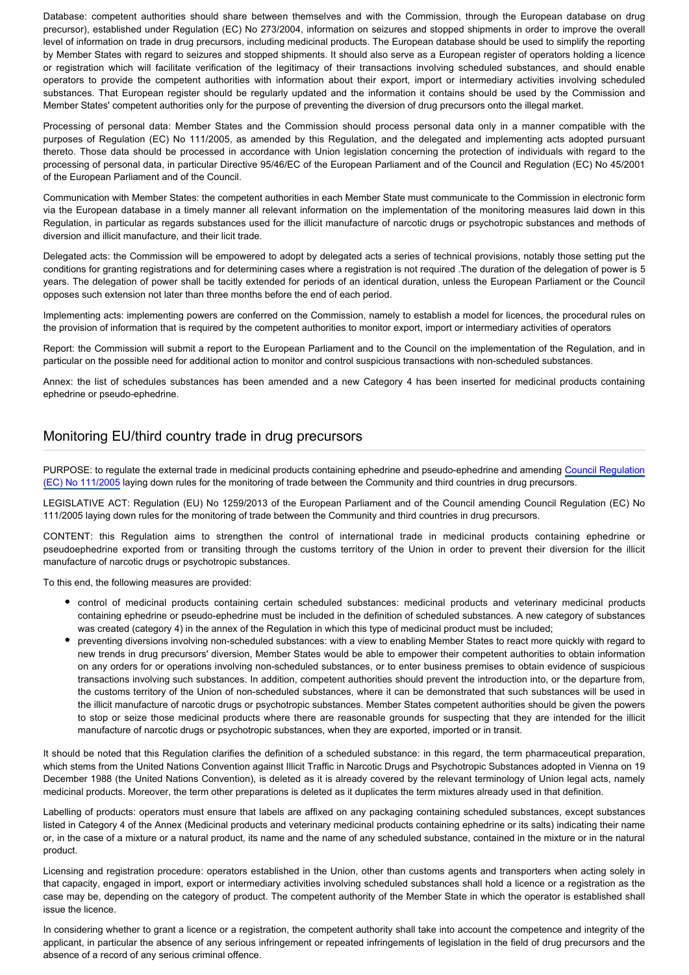Database: competent authorities should share between themselves and with the Commission, through the European database on drug precursor), established under Regulation (EC) No 273/2004, information on seizures and stopped shipments in order to improve the overall level of information on trade in drug precursors, including medicinal products. The European database should be used to simplify the reporting by Member States with regard to seizures and stopped shipments. It should also serve as a European register of operators holding a licence or registration which will facilitate verification of the legitimacy of their transactions involving scheduled substances, and should enable operators to provide the competent authorities with information about their export, import or intermediary activities involving scheduled substances. That European register should be regularly updated and the information it contains should be used by the Commission and Member States' competent authorities only for the purpose of preventing the diversion of drug precursors onto the illegal market.

Processing of personal data: Member States and the Commission should process personal data only in a manner compatible with the purposes of Regulation (EC) No 111/2005, as amended by this Regulation, and the delegated and implementing acts adopted pursuant thereto. Those data should be processed in accordance with Union legislation concerning the protection of individuals with regard to the processing of personal data, in particular Directive 95/46/EC of the European Parliament and of the Council and Regulation (EC) No 45/2001 of the European Parliament and of the Council.

Communication with Member States: the competent authorities in each Member State must communicate to the Commission in electronic form via the European database in a timely manner all relevant information on the implementation of the monitoring measures laid down in this Regulation, in particular as regards substances used for the illicit manufacture of narcotic drugs or psychotropic substances and methods of diversion and illicit manufacture, and their licit trade.

Delegated acts: the Commission will be empowered to adopt by delegated acts a series of technical provisions, notably those setting put the conditions for granting registrations and for determining cases where a registration is not required .The duration of the delegation of power is 5 years. The delegation of power shall be tacitly extended for periods of an identical duration, unless the European Parliament or the Council opposes such extension not later than three months before the end of each period.

Implementing acts: implementing powers are conferred on the Commission, namely to establish a model for licences, the procedural rules on the provision of information that is required by the competent authorities to monitor export, import or intermediary activities of operators

Report: the Commission will submit a report to the European Parliament and to the Council on the implementation of the Regulation, and in particular on the possible need for additional action to monitor and control suspicious transactions with non-scheduled substances.

Annex: the list of schedules substances has been amended and a new Category 4 has been inserted for medicinal products containing ephedrine or pseudo-ephedrine.

### Monitoring EU/third country trade in drug precursors

PURPOSE: to regulate the external trade in medicinal products containing ephedrine and pseudo-ephedrine and amending [Council Regulation](http://eur-lex.europa.eu/LexUriServ/LexUriServ.do?uri=OJ:L:2005:022:0001:0010:EN:PDF) [\(EC\) No 111/2005](http://eur-lex.europa.eu/LexUriServ/LexUriServ.do?uri=OJ:L:2005:022:0001:0010:EN:PDF) laying down rules for the monitoring of trade between the Community and third countries in drug precursors.

LEGISLATIVE ACT: Regulation (EU) No 1259/2013 of the European Parliament and of the Council amending Council Regulation (EC) No 111/2005 laying down rules for the monitoring of trade between the Community and third countries in drug precursors.

CONTENT: this Regulation aims to strengthen the control of international trade in medicinal products containing ephedrine or pseudoephedrine exported from or transiting through the customs territory of the Union in order to prevent their diversion for the illicit manufacture of narcotic drugs or psychotropic substances.

To this end, the following measures are provided:

- control of medicinal products containing certain scheduled substances: medicinal products and veterinary medicinal products containing ephedrine or pseudo-ephedrine must be included in the definition of scheduled substances. A new category of substances was created (category 4) in the annex of the Regulation in which this type of medicinal product must be included;
- preventing diversions involving non-scheduled substances: with a view to enabling Member States to react more quickly with regard to new trends in drug precursors' diversion, Member States would be able to empower their competent authorities to obtain information on any orders for or operations involving non-scheduled substances, or to enter business premises to obtain evidence of suspicious transactions involving such substances. In addition, competent authorities should prevent the introduction into, or the departure from, the customs territory of the Union of non-scheduled substances, where it can be demonstrated that such substances will be used in the illicit manufacture of narcotic drugs or psychotropic substances. Member States competent authorities should be given the powers to stop or seize those medicinal products where there are reasonable grounds for suspecting that they are intended for the illicit manufacture of narcotic drugs or psychotropic substances, when they are exported, imported or in transit.

It should be noted that this Regulation clarifies the definition of a scheduled substance: in this regard, the term pharmaceutical preparation, which stems from the United Nations Convention against Illicit Traffic in Narcotic Drugs and Psychotropic Substances adopted in Vienna on 19 December 1988 (the United Nations Convention), is deleted as it is already covered by the relevant terminology of Union legal acts, namely medicinal products. Moreover, the term other preparations is deleted as it duplicates the term mixtures already used in that definition.

Labelling of products: operators must ensure that labels are affixed on any packaging containing scheduled substances, except substances listed in Category 4 of the Annex (Medicinal products and veterinary medicinal products containing ephedrine or its salts) indicating their name or, in the case of a mixture or a natural product, its name and the name of any scheduled substance, contained in the mixture or in the natural product.

Licensing and registration procedure: operators established in the Union, other than customs agents and transporters when acting solely in that capacity, engaged in import, export or intermediary activities involving scheduled substances shall hold a licence or a registration as the case may be, depending on the category of product. The competent authority of the Member State in which the operator is established shall issue the licence.

In considering whether to grant a licence or a registration, the competent authority shall take into account the competence and integrity of the applicant, in particular the absence of any serious infringement or repeated infringements of legislation in the field of drug precursors and the absence of a record of any serious criminal offence.